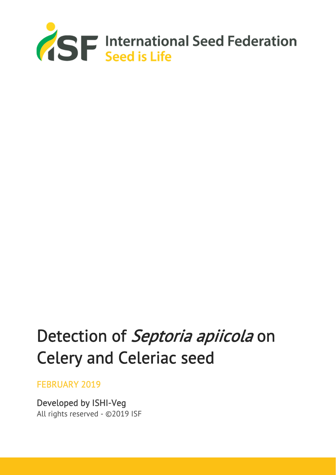

# Detection of Septoria apiicola on Celery and Celeriac seed

### FEBRUARY 2019

Developed by ISHI-Veg All rights reserved - ©2019 ISF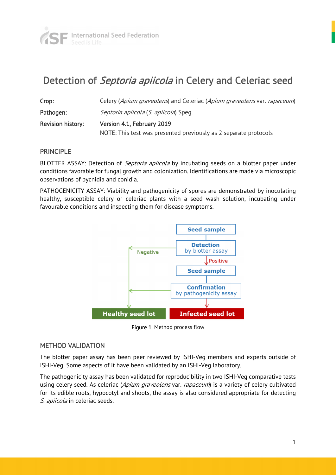

# Detection of *Septoria apiicola* in Celery and Celeriac seed

| Crop:                    | Celery (Apium graveolens) and Celeriac (Apium graveolens var. rapaceum) |  |
|--------------------------|-------------------------------------------------------------------------|--|
| Pathogen:                | <i>Septoria apiicola (S. apiicola)</i> Speg.                            |  |
| <b>Revision history:</b> | Version 4.1, February 2019                                              |  |
|                          | NOTE: This test was presented previously as 2 separate protocols        |  |

#### **PRINCIPLE**

BLOTTER ASSAY: Detection of *Septoria apiicola* by incubating seeds on a blotter paper under conditions favorable for fungal growth and colonization. Identifications are made via microscopic observations of pycnidia and conidia.

PATHOGENICITY ASSAY: Viability and pathogenicity of spores are demonstrated by inoculating healthy, susceptible celery or celeriac plants with a seed wash solution, incubating under favourable conditions and inspecting them for disease symptoms.



Figure 1. Method process flow

#### METHOD VALIDATION

The blotter paper assay has been peer reviewed by ISHI-Veg members and experts outside of ISHI-Veg. Some aspects of it have been validated by an ISHI-Veg laboratory.

The pathogenicity assay has been validated for reproducibility in two ISHI-Veg comparative tests using celery seed. As celeriac (Apium graveolens var. rapaceum) is a variety of celery cultivated for its edible roots, hypocotyl and shoots, the assay is also considered appropriate for detecting S. apiicola in celeriac seeds.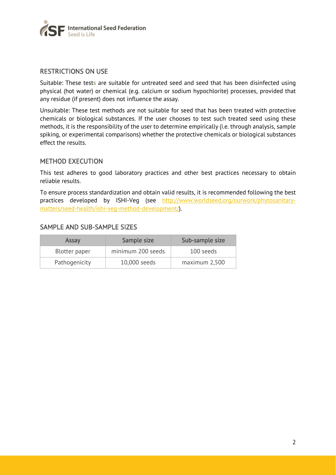

#### RESTRICTIONS ON USE

Suitable: These tests are suitable for untreated seed and seed that has been disinfected using physical (hot water) or chemical (e.g. calcium or sodium hypochlorite) processes, provided that any residue (if present) does not influence the assay.

Unsuitable: These test methods are not suitable for seed that has been treated with protective chemicals or biological substances. If the user chooses to test such treated seed using these methods, it is the responsibility of the user to determine empirically (i.e. through analysis, sample spiking, or experimental comparisons) whether the protective chemicals or biological substances effect the results.

#### METHOD EXECUTION

This test adheres to good laboratory practices and other best practices necessary to obtain reliable results.

To ensure process standardization and obtain valid results, it is recommended following the best practices developed by ISHI-Veg (see http://www.worldseed.org/ourwork/phytosanitarymatters/seed-health/ishi-veg-method-development/).

#### SAMPLE AND SUB-SAMPLE SIZES

| Assay         | Sample size       | Sub-sample size |
|---------------|-------------------|-----------------|
| Blotter paper | minimum 200 seeds | 100 seeds       |
| Pathogenicity | 10,000 seeds      | maximum 2,500   |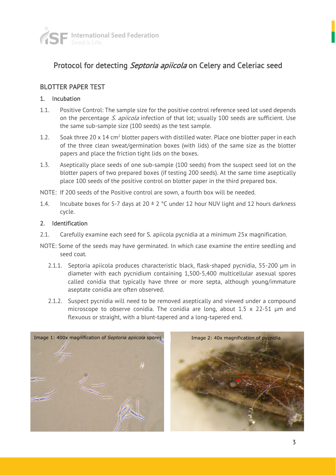

## Protocol for detecting Septoria apiicola on Celery and Celeriac seed

#### BLOTTER PAPER TEST

#### 1. Incubation

- 1.1. Positive Control: The sample size for the positive control reference seed lot used depends on the percentage S. apiicola infection of that lot; usually 100 seeds are sufficient. Use the same sub-sample size (100 seeds) as the test sample.
- 1.2. Soak three 20 x 14 cm<sup>2</sup> blotter papers with distilled water. Place one blotter paper in each of the three clean sweat/germination boxes (with lids) of the same size as the blotter papers and place the friction tight lids on the boxes.
- 1.3. Aseptically place seeds of one sub-sample (100 seeds) from the suspect seed lot on the blotter papers of two prepared boxes (if testing 200 seeds). At the same time aseptically place 100 seeds of the positive control on blotter paper in the third prepared box.
- NOTE: If 200 seeds of the Positive control are sown, a fourth box will be needed.
- 1.4. Incubate boxes for 5-7 days at  $20 \pm 2$  °C under 12 hour NUV light and 12 hours darkness cycle.

#### 2. Identification

- 2.1. Carefully examine each seed for S. apiicola pycnidia at a minimum 25x magnification.
- NOTE: Some of the seeds may have germinated. In which case examine the entire seedling and seed coat.
	- 2.1.1. Septoria apiicola produces characteristic black, flask-shaped pycnidia, 55-200 μm in diameter with each pycnidium containing 1,500-5,400 multicellular asexual spores called conidia that typically have three or more septa, although young/immature aseptate conidia are often observed.
	- 2.1.2. Suspect pycnidia will need to be removed aseptically and viewed under a compound microscope to observe conidia. The conidia are long, about 1.5 x 22-51 µm and flexuous or straight, with a blunt-tapered and a long-tapered end.

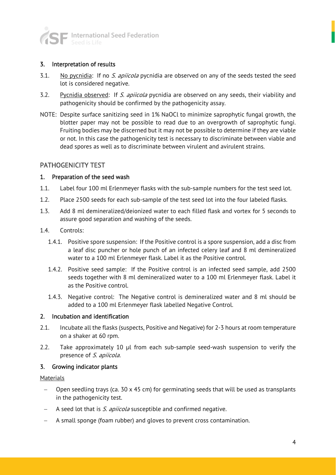

#### 3. Interpretation of results

- 3.1. No pycnidia: If no S. apiicola pycnidia are observed on any of the seeds tested the seed lot is considered negative.
- 3.2. Pycnidia observed: If S. apiicola pycnidia are observed on any seeds, their viability and pathogenicity should be confirmed by the pathogenicity assay.
- NOTE: Despite surface sanitizing seed in 1% NaOCl to minimize saprophytic fungal growth, the blotter paper may not be possible to read due to an overgrowth of saprophytic fungi. Fruiting bodies may be discerned but it may not be possible to determine if they are viable or not. In this case the pathogenicity test is necessary to discriminate between viable and dead spores as well as to discriminate between virulent and avirulent strains.

#### PATHOGENICITY TEST

#### 1. Preparation of the seed wash

- 1.1. Label four 100 ml Erlenmeyer flasks with the sub-sample numbers for the test seed lot.
- 1.2. Place 2500 seeds for each sub-sample of the test seed lot into the four labeled flasks.
- 1.3. Add 8 ml demineralized/deionized water to each filled flask and vortex for 5 seconds to assure good separation and washing of the seeds.
- 1.4. Controls:
	- 1.4.1. Positive spore suspension: If the Positive control is a spore suspension, add a disc from a leaf disc puncher or hole punch of an infected celery leaf and 8 ml demineralized water to a 100 ml Erlenmeyer flask. Label it as the Positive control.
	- 1.4.2. Positive seed sample: If the Positive control is an infected seed sample, add 2500 seeds together with 8 ml demineralized water to a 100 ml Erlenmeyer flask. Label it as the Positive control.
	- 1.4.3. Negative control: The Negative control is demineralized water and 8 ml should be added to a 100 ml Erlenmeyer flask labelled Negative Control.

#### 2. Incubation and identification

- 2.1. Incubate all the flasks (suspects, Positive and Negative) for 2-3 hours at room temperature on a shaker at 60 rpm.
- 2.2. Take approximately 10 μl from each sub-sample seed-wash suspension to verify the presence of S. apiicola.

#### 3. Growing indicator plants

Materials

- Open seedling trays (ca.  $30 \times 45$  cm) for germinating seeds that will be used as transplants in the pathogenicity test.
- A seed lot that is S. apiicola susceptible and confirmed negative.
- A small sponge (foam rubber) and gloves to prevent cross contamination.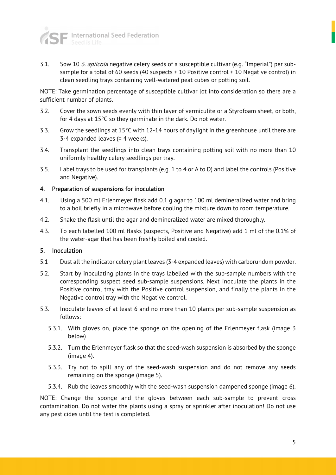

3.1. Sow 10 S. apiicola negative celery seeds of a susceptible cultivar (e.g. "Imperial") per subsample for a total of 60 seeds (40 suspects  $+10$  Positive control  $+10$  Negative control) in clean seedling trays containing well-watered peat cubes or potting soil.

NOTE: Take germination percentage of susceptible cultivar lot into consideration so there are a sufficient number of plants.

- 3.2. Cover the sown seeds evenly with thin layer of vermiculite or a Styrofoam sheet, or both, for 4 days at 15°C so they germinate in the dark. Do not water.
- 3.3. Grow the seedlings at 15°C with 12-14 hours of daylight in the greenhouse until there are 3-4 expanded leaves ( $±$  4 weeks).
- 3.4. Transplant the seedlings into clean trays containing potting soil with no more than 10 uniformly healthy celery seedlings per tray.
- 3.5. Label trays to be used for transplants (e.g. 1 to 4 or A to D) and label the controls (Positive and Negative).

#### 4. Preparation of suspensions for inoculation

- 4.1. Using a 500 ml Erlenmeyer flask add 0.1 g agar to 100 ml demineralized water and bring to a boil briefly in a microwave before cooling the mixture down to room temperature.
- 4.2. Shake the flask until the agar and demineralized water are mixed thoroughly.
- 4.3. To each labelled 100 ml flasks (suspects, Positive and Negative) add 1 ml of the 0.1% of the water-agar that has been freshly boiled and cooled.

#### 5. Inoculation

- 5.1 Dust all the indicator celery plant leaves (3-4 expanded leaves) with carborundum powder.
- 5.2. Start by inoculating plants in the trays labelled with the sub-sample numbers with the corresponding suspect seed sub-sample suspensions. Next inoculate the plants in the Positive control tray with the Positive control suspension, and finally the plants in the Negative control tray with the Negative control.
- 5.3. Inoculate leaves of at least 6 and no more than 10 plants per sub-sample suspension as follows:
	- 5.3.1. With gloves on, place the sponge on the opening of the Erlenmeyer flask (image 3 below)
	- 5.3.2. Turn the Erlenmeyer flask so that the seed-wash suspension is absorbed by the sponge (image 4).
	- 5.3.3. Try not to spill any of the seed-wash suspension and do not remove any seeds remaining on the sponge (image 5).
	- 5.3.4. Rub the leaves smoothly with the seed-wash suspension dampened sponge (image 6).

NOTE: Change the sponge and the gloves between each sub-sample to prevent cross contamination. Do not water the plants using a spray or sprinkler after inoculation! Do not use any pesticides until the test is completed.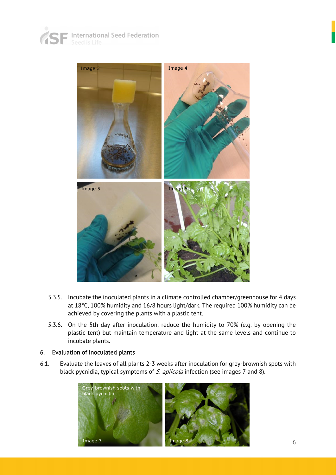





- 5.3.5. Incubate the inoculated plants in a climate controlled chamber/greenhouse for 4 days at 18°C, 100% humidity and 16/8 hours light/dark. The required 100% humidity can be achieved by covering the plants with a plastic tent.
- 5.3.6. On the 5th day after inoculation, reduce the humidity to 70% (e.g. by opening the plastic tent) but maintain temperature and light at the same levels and continue to incubate plants.

#### 6. Evaluation of inoculated plants

6.1. Evaluate the leaves of all plants 2-3 weeks after inoculation for grey-brownish spots with black pycnidia, typical symptoms of S. apiicola infection (see images 7 and 8).